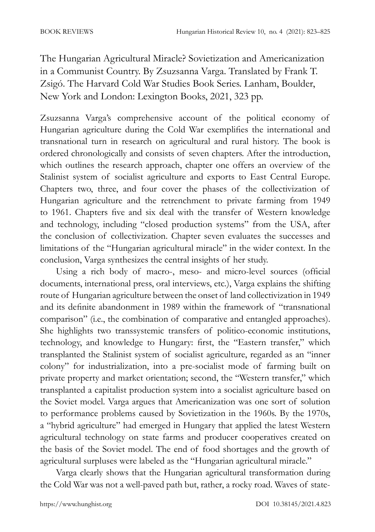The Hungarian Agricultural Miracle? Sovietization and Americanization in a Communist Country. By Zsuzsanna Varga. Translated by Frank T. Zsigó. The Harvard Cold War Studies Book Series. Lanham, Boulder, New York and London: Lexington Books, 2021, 323 pp.

Zsuzsanna Varga's comprehensive account of the political economy of Hungarian agriculture during the Cold War exemplifies the international and transnational turn in research on agricultural and rural history. The book is ordered chronologically and consists of seven chapters. After the introduction, which outlines the research approach, chapter one offers an overview of the Stalinist system of socialist agriculture and exports to East Central Europe. Chapters two, three, and four cover the phases of the collectivization of Hungarian agriculture and the retrenchment to private farming from 1949 to 1961. Chapters five and six deal with the transfer of Western knowledge and technology, including "closed production systems" from the USA, after the conclusion of collectivization. Chapter seven evaluates the successes and limitations of the "Hungarian agricultural miracle" in the wider context. In the conclusion, Varga synthesizes the central insights of her study.

Using a rich body of macro-, meso- and micro-level sources (official documents, international press, oral interviews, etc.), Varga explains the shifting route of Hungarian agriculture between the onset of land collectivization in 1949 and its definite abandonment in 1989 within the framework of "transnational comparison" (i.e., the combination of comparative and entangled approaches). She highlights two transsystemic transfers of politico-economic institutions, technology, and knowledge to Hungary: first, the "Eastern transfer," which transplanted the Stalinist system of socialist agriculture, regarded as an "inner colony" for industrialization, into a pre-socialist mode of farming built on private property and market orientation; second, the "Western transfer," which transplanted a capitalist production system into a socialist agriculture based on the Soviet model. Varga argues that Americanization was one sort of solution to performance problems caused by Sovietization in the 1960s. By the 1970s, a "hybrid agriculture" had emerged in Hungary that applied the latest Western agricultural technology on state farms and producer cooperatives created on the basis of the Soviet model. The end of food shortages and the growth of agricultural surpluses were labeled as the "Hungarian agricultural miracle."

Varga clearly shows that the Hungarian agricultural transformation during the Cold War was not a well-paved path but, rather, a rocky road. Waves of state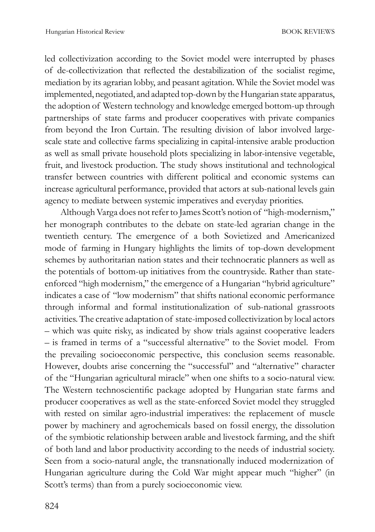led collectivization according to the Soviet model were interrupted by phases of de-collectivization that reflected the destabilization of the socialist regime, mediation by its agrarian lobby, and peasant agitation. While the Soviet model was implemented, negotiated, and adapted top-down by the Hungarian state apparatus, the adoption of Western technology and knowledge emerged bottom-up through partnerships of state farms and producer cooperatives with private companies from beyond the Iron Curtain. The resulting division of labor involved largescale state and collective farms specializing in capital-intensive arable production as well as small private household plots specializing in labor-intensive vegetable, fruit, and livestock production. The study shows institutional and technological transfer between countries with different political and economic systems can increase agricultural performance, provided that actors at sub-national levels gain agency to mediate between systemic imperatives and everyday priorities.

Although Varga does not refer to James Scott's notion of "high-modernism," her monograph contributes to the debate on state-led agrarian change in the twentieth century. The emergence of a both Sovietized and Americanized mode of farming in Hungary highlights the limits of top-down development schemes by authoritarian nation states and their technocratic planners as well as the potentials of bottom-up initiatives from the countryside. Rather than stateenforced "high modernism," the emergence of a Hungarian "hybrid agriculture" indicates a case of "low modernism" that shifts national economic performance through informal and formal institutionalization of sub-national grassroots activities. The creative adaptation of state-imposed collectivization by local actors – which was quite risky, as indicated by show trials against cooperative leaders – is framed in terms of a "successful alternative" to the Soviet model. From the prevailing socioeconomic perspective, this conclusion seems reasonable. However, doubts arise concerning the "successful" and "alternative" character of the "Hungarian agricultural miracle" when one shifts to a socio-natural view. The Western technoscientific package adopted by Hungarian state farms and producer cooperatives as well as the state-enforced Soviet model they struggled with rested on similar agro-industrial imperatives: the replacement of muscle power by machinery and agrochemicals based on fossil energy, the dissolution of the symbiotic relationship between arable and livestock farming, and the shift of both land and labor productivity according to the needs of industrial society. Seen from a socio-natural angle, the transnationally induced modernization of Hungarian agriculture during the Cold War might appear much "higher" (in Scott's terms) than from a purely socioeconomic view.